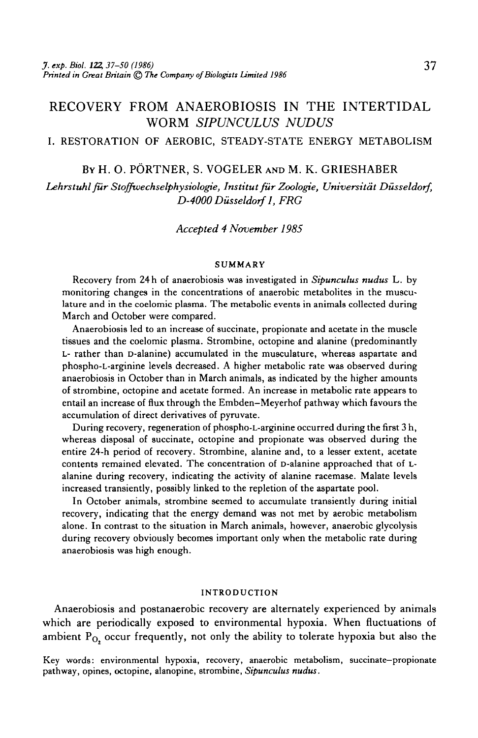# RECOVERY FROM ANAEROBIOSIS IN THE INTERTIDAL WORM *SIPUNCULUS NUDUS*

### I. RESTORATION OF AEROBIC, STEADY-STATE ENERGY METABOLISM

#### BY H. O. PORTNER, S. VOGELER AND M. K. GRIESHABER

*Lehrstuhl fur Stoffwechselphysiologie, Institut fur Zoologie, Universitdt Dusseldorf, D-4000Dusseldorfl, FRG*

### *Accepted 4 November 1985*

#### SUMMARY

Recovery from 24 h of anaerobiosis was investigated in *Sipunculus nudus* L. by monitoring changes in the concentrations of anaerobic metabolites in the musculature and in the coelomic plasma. The metabolic events in animals collected during March and October were compared.

Anaerobiosis led to an increase of succinate, propionate and acetate in the muscle tissues and the coelomic plasma. Strombine, octopine and alanine (predominantly L- rather than D-alanine) accumulated in the musculature, whereas aspartate and phospho-L-arginine levels decreased. A higher metabolic rate was observed during anaerobiosis in October than in March animals, as indicated by the higher amounts of strombine, octopine and acetate formed. An increase in metabolic rate appears to entail an increase of flux through the Embden-Meyerhof pathway which favours the accumulation of direct derivatives of pyruvate.

During recovery, regeneration of phospho-L-arginine occurred during the first 3 h, whereas disposal of succinate, octopine and propionate was observed during the entire 24-h period of recovery. Strombine, alanine and, to a lesser extent, acetate contents remained elevated. The concentration of D-alanine approached that of Lalanine during recovery, indicating the activity of alanine racemase. Malate levels increased transiently, possibly linked to the repletion of the aspartate pool.

In October animals, strombine seemed to accumulate transiently during initial recovery, indicating that the energy demand was not met by aerobic metabolism alone. In contrast to the situation in March animals, however, anaerobic glycolysis during recovery obviously becomes important only when the metabolic rate during anaerobiosis was high enough.

#### INTRODUCTION

Anaerobiosis and postanaerobic recovery are alternately experienced by animals which are periodically exposed to environmental hypoxia. When fluctuations of ambient  $P<sub>O</sub>$ , occur frequently, not only the ability to tolerate hypoxia but also the

Key words: environmental hypoxia, recovery, anaerobic metabolism, succinate—propionate pathway, opines, octopine, alanopine, strombine, *Sipunculus nudus.*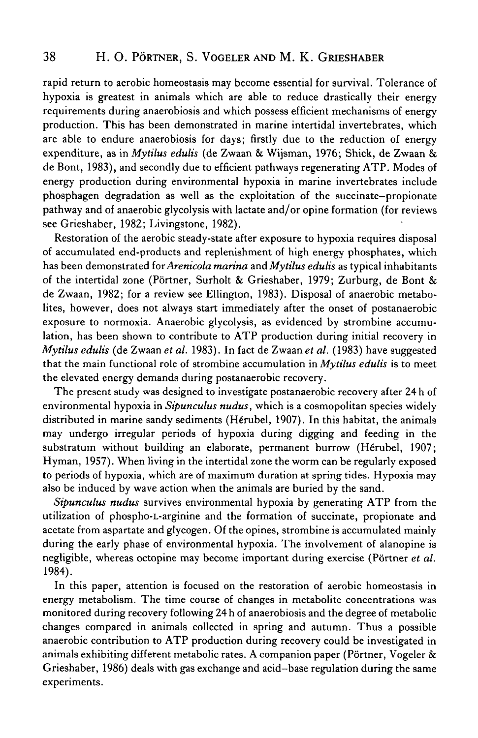rapid return to aerobic homeostasis may become essential for survival. Tolerance of hypoxia is greatest in animals which are able to reduce drastically their energy requirements during anaerobiosis and which possess efficient mechanisms of energy production. This has been demonstrated in marine intertidal invertebrates, which are able to endure anaerobiosis for days; firstly due to the reduction of energy expenditure, as in *Mytilus edulis* (de Zwaan & Wijsman, 1976; Shick, de Zwaan & de Bont, 1983), and secondly due to efficient pathways regenerating ATP. Modes of energy production during environmental hypoxia in marine invertebrates include phosphagen degradation as well as the exploitation of the succinate-propionate pathway and of anaerobic glycolysis with lactate and/or opine formation (for reviews see Grieshaber, 1982; Livingstone, 1982).

Restoration of the aerobic steady-state after exposure to hypoxia requires disposal of accumulated end-products and replenishment of high energy phosphates, which has been demonstrated for *Arenicola marina* and *Mytilus edulis* as typical inhabitants of the intertidal zone (Portner, Surholt & Grieshaber, 1979; Zurburg, de Bont & de Zwaan, 1982; for a review see Ellington, 1983). Disposal of anaerobic metabolites, however, does not always start immediately after the onset of postanaerobic exposure to normoxia. Anaerobic glycolysis, as evidenced by strombine accumulation, has been shown to contribute to ATP production during initial recovery in *Mytilus edulis* (de Zwaan *et al.* 1983). In fact de Zwaan *et al.* (1983) have suggested that the main functional role of strombine accumulation in *Mytilus edulis* is to meet the elevated energy demands during postanaerobic recovery.

The present study was designed to investigate postanaerobic recovery after 24 h of environmental hypoxia in *Sipunculus nudus,* which is a cosmopolitan species widely distributed in marine sandy sediments (Hérubel, 1907). In this habitat, the animals may undergo irregular periods of hypoxia during digging and feeding in the substratum without building an elaborate, permanent burrow (Hérubel, 1907; Hyman, 1957). When living in the intertidal zone the worm can be regularly exposed to periods of hypoxia, which are of maximum duration at spring tides. Hypoxia may also be induced by wave action when the animals are buried by the sand.

*Sipunculus nudus* survives environmental hypoxia by generating ATP from the utilization of phospho-L-arginine and the formation of succinate, propionate and acetate from aspartate and glycogen. Of the opines, strombine is accumulated mainly during the early phase of environmental hypoxia. The involvement of alanopine is negligible, whereas octopine may become important during exercise (Portner *et al.* 1984).

In this paper, attention is focused on the restoration of aerobic homeostasis in energy metabolism. The time course of changes in metabolite concentrations was monitored during recovery following 24 h of anaerobiosis and the degree of metabolic changes compared in animals collected in spring and autumn. Thus a possible anaerobic contribution to ATP production during recovery could be investigated in animals exhibiting different metabolic rates. A companion paper (Pörtner, Vogeler & Grieshaber, 1986) deals with gas exchange and acid-base regulation during the same experiments.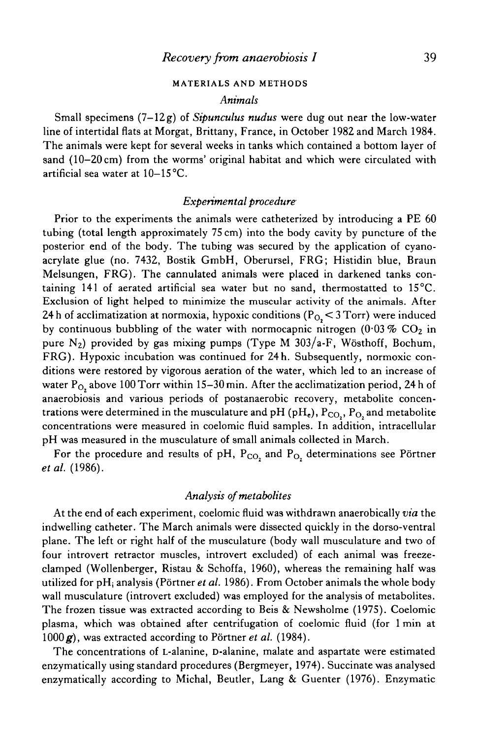### **MATERIALS AND METHODS**

#### *Animals*

Small specimens (7-12g) of *Sipunculus nudus* were dug out near the low-water line of intertidal flats at Morgat, Brittany, France, in October 1982 and March 1984. The animals were kept for several weeks in tanks which contained a bottom layer of sand (10-20 cm) from the worms' original habitat and which were circulated with artificial sea water at 10—15°C.

### *Experimental procedure*

Prior to the experiments the animals were catheterized by introducing a PE 60 tubing (total length approximately 75 cm) into the body cavity by puncture of the posterior end of the body. The tubing was secured by the application of cyanoacrylate glue (no. 7432, Bostik GmbH, Oberursel, FRG; Histidin blue, Braun Melsungen, FRG). The cannulated animals were placed in darkened tanks containing 141 of aerated artificial sea water but no sand, thermostatted to 15°C. Exclusion of light helped to minimize the muscular activity of the animals. After 24 h of acclimatization at normoxia, hypoxic conditions ( $P<sub>O</sub> < 3$  Torr) were induced by continuous bubbling of the water with normocapnic nitrogen  $(0.03\%$  CO<sub>2</sub> in pure  $N_2$ ) provided by gas mixing pumps (Type M 303/a-F, Wösthoff, Bochum, FRG). Hypoxic incubation was continued for 24h. Subsequently, normoxic conditions were restored by vigorous aeration of the water, which led to an increase of water  $P_{\Omega}$  above 100 Torr within 15-30 min. After the acclimatization period, 24 h of anaerobiosis and various periods of postanaerobic recovery, metabolite concentrations were determined in the musculature and pH (pH<sub>e</sub>),  $P_{CO_2}$ ,  $P_{O_2}$  and metabolite concentrations were measured in coelomic fluid samples. In addition, intracellular pH was measured in the musculature of small animals collected in March.

For the procedure and results of pH,  $P_{CO_2}$  and  $P_{O_2}$  determinations see Pörtner *etal.* (1986).

#### *Analysis of metabolites*

At the end of each experiment, coelomic fluid was withdrawn anaerobically *via* the indwelling catheter. The March animals were dissected quickly in the dorso-ventral plane. The left or right half of the musculature (body wall musculature and two of four introvert retractor muscles, introvert excluded) of each animal was freezeclamped (Wollenberger, Ristau & Schoffa, 1960), whereas the remaining half was utilized for pHj analysis (Portner *et al.* 1986). From October animals the whole body wall musculature (introvert excluded) was employed for the analysis of metabolites. The frozen tissue was extracted according to Beis & Newsholme (1975). Coelomic plasma, which was obtained after centrifugation of coelomic fluid (for 1 min at 1000 g), was extracted according to Pörtner *et al.* (1984).

The concentrations of L-alanine, D-alanine, malate and aspartate were estimated enzymatically using standard procedures (Bergmeyer, 1974). Succinate was analysed enzymatically according to Michal, Beutler, Lang & Guenter (1976). Enzymatic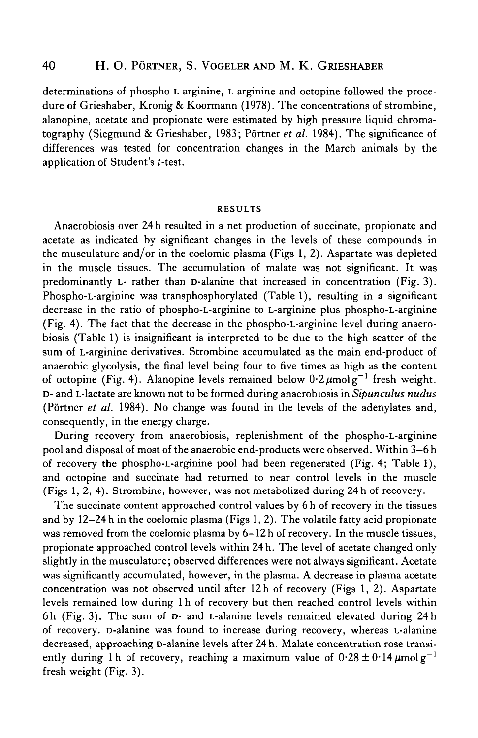## 40 H. O. PÖRTNER, S. VOGELER AND M. K. GRIESHABER

determinations of phospho-L-arginine, L-arginine and octopine followed the procedure of Grieshaber, Kronig & Koormann (1978). The concentrations of strombine, alanopine, acetate and propionate were estimated by high pressure liquid chromatography (Siegmund & Grieshaber, 1983; Portner *et al.* 1984). The significance of differences was tested for concentration changes in the March animals by the application of Student's f-test.

#### RESULTS

Anaerobiosis over 24 h resulted in a net production of succinate, propionate and acetate as indicated by significant changes in the levels of these compounds in the musculature and/or in the coelomic plasma (Figs 1, 2). Aspartate was depleted in the muscle tissues. The accumulation of malate was not significant. It was predominantly L- rather than D-alanine that increased in concentration (Fig. 3). Phospho-L-arginine was transphosphorylated (Table 1), resulting in a significant decrease in the ratio of phospho-L-arginine to L-arginine plus phospho-L-arginine (Fig. 4). The fact that the decrease in the phospho-L-arginine level during anaerobiosis (Table 1) is insignificant is interpreted to be due to the high scatter of the sum of L-arginine derivatives. Strombine accumulated as the main end-product of anaerobic glycolysis, the final level being four to five times as high as the content of octopine (Fig. 4). Alanopine levels remained below  $0.2 \mu$ molg<sup>-1</sup> fresh weight. D- and L-lactate are known not to be formed during anaerobiosis in *Sipunculus nudus* (Portner *et al.* 1984). No change was found in the levels of the adenylates and, consequently, in the energy charge.

During recovery from anaerobiosis, replenishment of the phospho-L-arginine pool and disposal of most of the anaerobic end-products were observed. Within 3-6 h of recovery the phospho-L-arginine pool had been regenerated (Fig. 4; Table 1), and octopine and succinate had returned to near control levels in the muscle (Figs 1, 2, 4). Strombine, however, was not metabolized during 24 h of recovery.

The succinate content approached control values by 6 h of recovery in the tissues and by 12-24h in the coelomic plasma (Figs 1,2). The volatile fatty acid propionate was removed from the coelomic plasma by 6-12 h of recovery. In the muscle tissues, propionate approached control levels within 24 h. The level of acetate changed only slightly in the musculature; observed differences were not always significant. Acetate was significantly accumulated, however, in the plasma. A decrease in plasma acetate concentration was not observed until after 12 h of recovery (Figs 1, 2). Aspartate levels remained low during 1 h of recovery but then reached control levels within 6h (Fig. 3). The sum of D- and L-alanine levels remained elevated during 24 h of recovery. D-alanine was found to increase during recovery, whereas L-alanine decreased, approaching D-alanine levels after 24 h. Malate concentration rose transiently during 1 h of recovery, reaching a maximum value of  $0.28 \pm 0.14 \mu$ molg<sup>-1</sup> fresh weight (Fig. 3).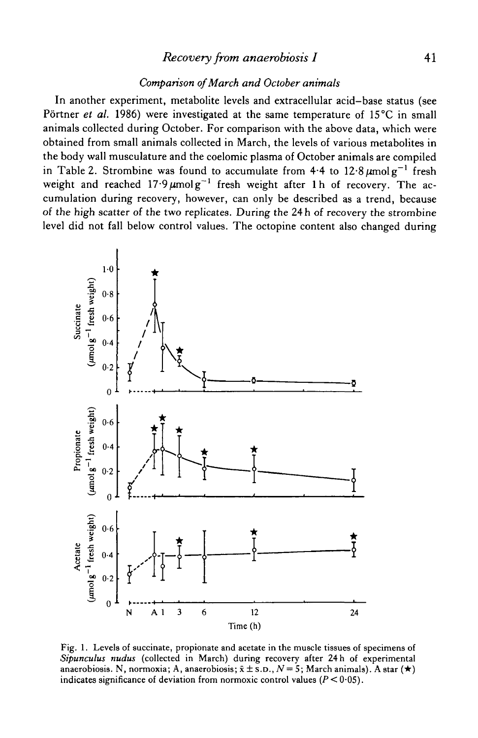## *Recovery from anaerobiosis I* **41**

### *Comparison of March and October animals*

In another experiment, metabolite levels and extracellular acid-base status (see Pörtner et al. 1986) were investigated at the same temperature of 15°C in small animals collected during October. For comparison with the above data, which were obtained from small animals collected in March, the levels of various metabolites in the body wall musculature and the coelomic plasma of October animals are compiled in Table 2. Strombine was found to accumulate from 4.4 to  $12.8 \mu$ molg<sup>-1</sup> fresh weight and reached  $17.9 \mu \text{molg}^{-1}$  fresh weight after 1h of recovery. The accumulation during recovery, however, can only be described as a trend, because of the high scatter of the two replicates. During the 24 h of recovery the strombine level did not fall below control values. The octopine content also changed during



Fig. 1. Levels of succinate, propionate and acetate in the muscle tissues of specimens of *Sipunculus nudus* (collected in March) during recovery after 24 h of experimental anaerobiosis. N, normoxia; A, anaerobiosis;  $\bar{x} \pm \bar{s}$ .D.,  $N = 5$ ; March animals). A star (\*) indicates significance of deviation from normoxic control values  $(P < 0.05)$ .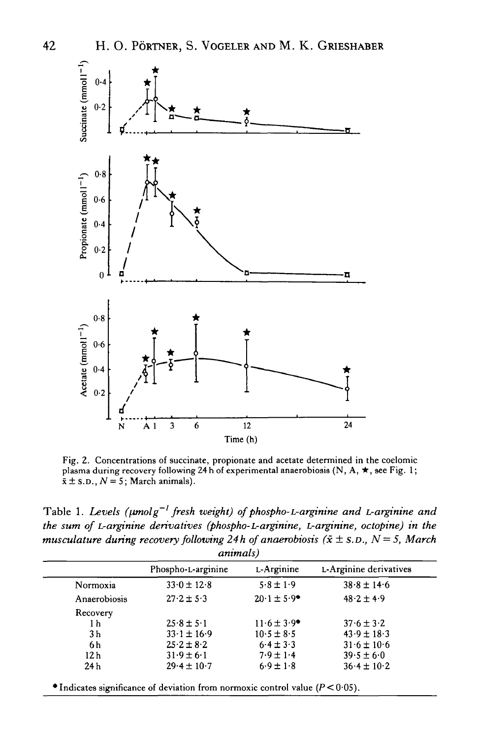

Fig. 2. Concentrations of succinate, propionate and acetate determined in the coelomic plasma during recovery following 24 h of experimental anaerobiosis (N, A,  $\star$ , see Fig. 1;  $\bar{x} \pm$  S.D.,  $N = 5$ ; March animals).

Table 1. Levels ( $\mu$ molg<sup>-1</sup> fresh weight) of phospho-L-arginine and L-arginine and *the sum of L-arginine derivatives (phospho-L-arginine, L-arginine, octopine) in the musculature during recovery following 24h of anaerobiosis (* $\bar{x} \pm$  *s.p., N = 5, March animals)*

|                 | Phospho-L-arginine | L-Arginine                  | L-Arginine derivatives |
|-----------------|--------------------|-----------------------------|------------------------|
| Normoxia        | $33.0 \pm 12.8$    | $5.8 \pm 1.9$               | $38.8 \pm 14.6$        |
| Anaerobiosis    | $27.2 \pm 5.3$     | $20.1 \pm 5.9$ *            | $48.2 \pm 4.9$         |
| Recovery        |                    |                             |                        |
| 1 h             | $25.8 \pm 5.1$     | $11.6 \pm 3.9$ <sup>*</sup> | $37.6 \pm 3.2$         |
| 3 h             | $33.1 \pm 16.9$    | $10.5 \pm 8.5$              | $43.9 \pm 18.3$        |
| 6 h             | $25.2 \pm 8.2$     | $6.4 \pm 3.3$               | $31.6 \pm 10.6$        |
| 12 <sub>h</sub> | $31.9 \pm 6.1$     | $7.9 \pm 1.4$               | $39.5 \pm 6.0$         |
| 24h             | $29.4 \pm 10.7$    | $6.9 \pm 1.8$               | $36.4 \pm 10.2$        |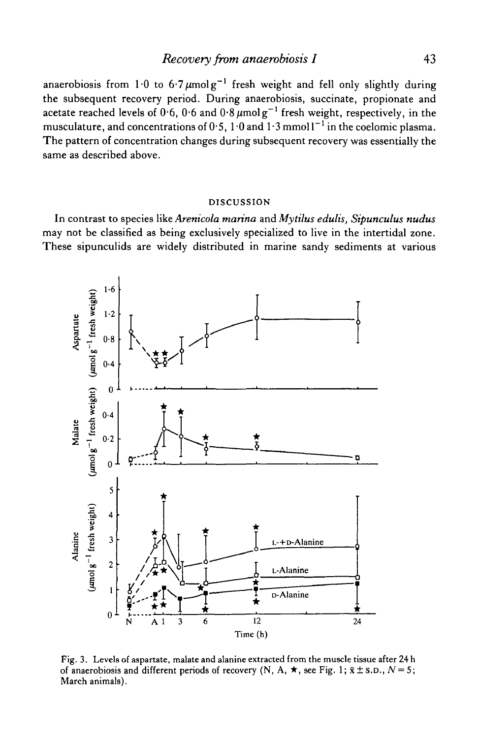anaerobiosis from 1.0 to 6.7  $\mu$ molg<sup>-1</sup> fresh weight and fell only slightly during the subsequent recovery period. During anaerobiosis, succinate, propionate and acetate reached levels of  $0.6$ ,  $0.6$  and  $0.8\,\mu\mathrm{mol\,g}^{-1}$  fresh weight, respectively, in the musculature, and concentrations of  $0.5, 1.0$  and  $1.3$  mmol  $1^{-1}$  in the coelomic plasma. The pattern of concentration changes during subsequent recovery was essentially the same as described above.

#### DISCUSSION

In contrast to species *like Arenicola marina* and *Mytilus edulis, Sipunculus nudus* may not be classified as being exclusively specialized to live in the intertidal zone. These sipunculids are widely distributed in marine sandy sediments at various



Fig. 3. Levels of aspartate, malate and alanine extracted from the muscle tissue after 24 h of anaerobiosis and different periods of recovery (N, A,  $\star$ , see Fig. 1;  $\bar{x} \pm$  s.d.,  $N = 5$ ; March animals).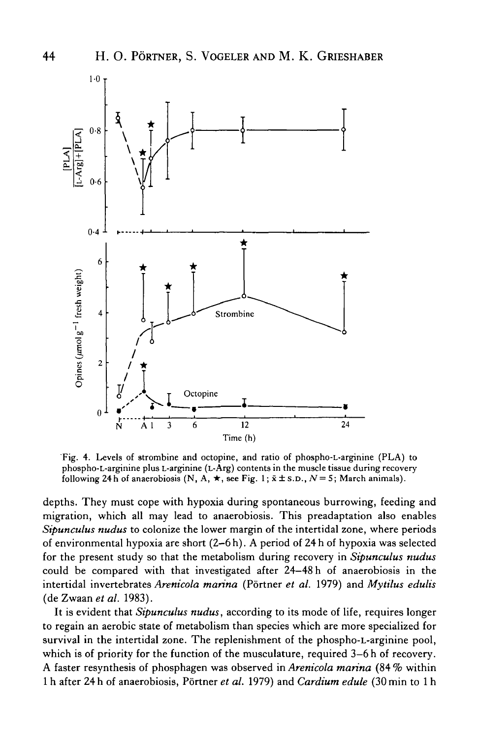

Fig. 4. Levels of strombine and octopine, and ratio of phospho-L-arginine (PLA) to phospho-L-arginine plus L-arginine (L-Arg) contents in the muscle tissue during recovery following 24 h of anaerobiosis (N, A,  $\star$ , see Fig. 1;  $\bar{x} \pm$  s.D.,  $N=5$ ; March animals).

depths. They must cope with hypoxia during spontaneous burrowing, feeding and migration, which all may lead to anaerobiosis. This preadaptation also enables *Sipunculus nudus* to colonize the lower margin of the intertidal zone, where periods of environmental hypoxia are short (2—6 h). A period of 24 h of hypoxia was selected for the present study so that the metabolism during recovery in *Sipunculus nudus* could be compared with that investigated after 24-48 h of anaerobiosis in the intertidal invertebrates *Arenicola marina* (Portner *et al.* 1979) and *Mytilus edulis* (de Zwaan et al. 1983).

It is evident that *Sipunculus nudus,* according to its mode of life, requires longer to regain an aerobic state of metabolism than species which are more specialized for survival in the intertidal zone. The replenishment of the phospho-L-arginine pool, which is of priority for the function of the musculature, required 3–6h of recovery. A faster resynthesis of phosphagen was observed in *Arenicola marina* (84 % within 1 h after 24 h of anaerobiosis, Portner *et al.* 1979) and *Cardium edule* (30 min to 1 h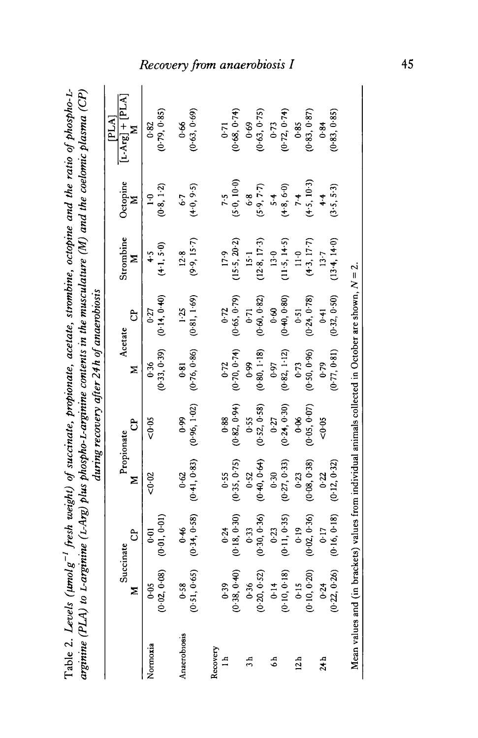| z <sup>-1</sup> fresh weight) of succinate, propionate, acetate, strombine, octopine and the ratio of phospho-L- | inine (L-Arg) plus phospho-L-arginine contents in the musculature (M) and the coelomic plasma (CP) | during recovery after 24h of anaerobiosis |
|------------------------------------------------------------------------------------------------------------------|----------------------------------------------------------------------------------------------------|-------------------------------------------|

|                |                                                                                                        |                      |                          |               |                          |                          |                          |                          | [PLA]                  |
|----------------|--------------------------------------------------------------------------------------------------------|----------------------|--------------------------|---------------|--------------------------|--------------------------|--------------------------|--------------------------|------------------------|
|                | Σ                                                                                                      | පි<br>Succinate      | Propionate<br>Σ          | ට්            | Acetate<br>Σ             | පි                       | Strombine<br>Ξ           | Octopine<br>z            | $[1-Arg] + [PLA]$<br>Σ |
| Normoxia       | (0.02, 0.08)<br>0.05                                                                                   | (0.01, 0.01)<br>0.01 | <0∙02                    | $50 - 05$     | (0.33, 0.39)<br>0.36     | (0.14, 0.40)<br>$0 - 27$ | (4.1, 5.0)<br>$\ddot{+}$ | (0.8, 1.2)<br>$\ddot{ }$ | (0.79, 0.85)<br>0.82   |
| Anaerobiosis   | (0.51, 0.65)                                                                                           | (0.34, 0.58)         | (0.41, 0.83)             | (0.96, 1.02)  | (0.76, 0.86)             | (0.81, 1.69)             | (9.9, 15.7)              | $(+0, 9.5)$              | (0.63, 0.69)           |
|                | 0.58                                                                                                   | 6.46                 | 0.62                     | 0.99          | 0.81                     | 1.25                     | 12.8                     | $6 - 7$                  | 0.66                   |
| Recovery       | (0.38, 0.40)                                                                                           | (0.18, 0.30)         | (0.35, 0.75)             | (0.82, 0.94)  | (0.70, 0.74)             | (0.65, 0.79)             | (15.5, 20.2)             | (5.0, 10.0)              | (0.68, 0.74)           |
| $\Xi$          | 0.39                                                                                                   | 0.24                 | 0.55                     | 0.88          | 0.72                     | $0 - 72$                 | 17.9                     | 7.5                      | 0.71                   |
| 45             | (0.20, 0.52)                                                                                           | (0.30, 0.36)         | (0.40, 0.64)             | (0.52, 0.58)  | (0.80, 1.18)             | (0.60, 0.82)             | (12.8, 17.3)             | (5.9, 7.7)               | (0.63, 0.75)           |
|                | 0.36                                                                                                   | 0.33                 | 0.52                     | 0.55          | 0.99                     | 0.71                     | $15-1$                   | 6·8                      | 0.69                   |
| $\ddot{\circ}$ | (0.10, 0.18)                                                                                           | (0.11, 0.35)         | (0.27, 0.33)             | (0.24, 0.30)  | (0.82, 1.12)             | (0.40, 0.80)             | (11.5, 14.5)             | $(+8, 6.0)$              | (0.72, 0.74)           |
|                | 0.14                                                                                                   | $0 - 23$             | 0.30                     | $0 - 27$      | 0.97                     | 0.60                     | 13.0                     | 5.4                      | $0 - 73$               |
| 12h            | (0.10, 0.20)                                                                                           | (0.02, 0.36)         | (0.08, 0.38)             | (0.05, 0.07)  | (0.50, 0.96)             | (0.24, 0.78)             | (4.3, 17.7)              | (4.5, 10.3)              | (0.83, 0.87)           |
|                | 0.15                                                                                                   | 0.19                 | 0.23                     | $\frac{8}{0}$ | $0 - 73$                 | $0 - 51$                 | $11-0$                   | 7.4                      | 0.85                   |
| 24h            | (0.22, 0.26)<br>0.24                                                                                   | (0.16, 0.18)<br>0.17 | (0.12, 0.32)<br>$0 - 22$ | 0.05          | (0.77, 0.81)<br>$6 - 79$ | (0.32, 0.50)<br>$-1+0$   | (13.4, 14.0)<br>13.7     | (3.5, 5.3)<br>4.4        | (0.83, 0.85)<br>0.84   |
|                | Mean values and (in brackets) values from individual animals collected in October are shown, $N = 2$ . |                      |                          |               |                          |                          |                          |                          |                        |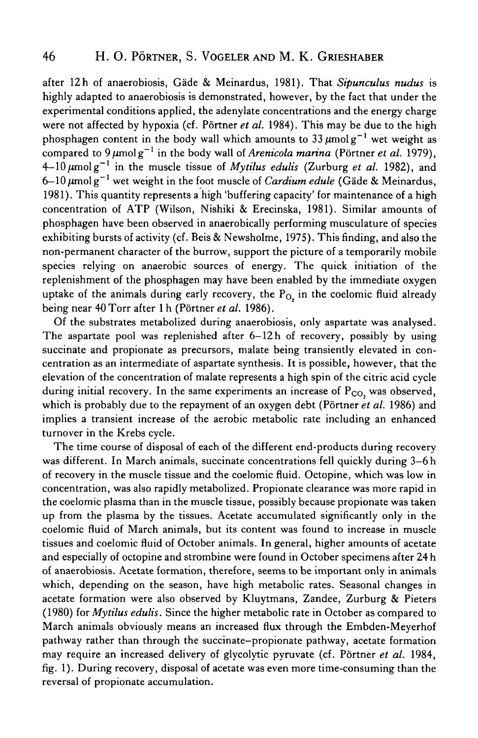after 12h of anaerobiosis, Gade & Meinardus, 1981). That *Sipunculus nudus* is highly adapted to anaerobiosis is demonstrated, however, by the fact that under the experimental conditions applied, the adenylate concentrations and the energy charge were not affected by hypoxia (cf. Pörtner *et al.* 1984). This may be due to the high phosphagen content in the body wall which amounts to 33  $\mu$ molg<sup>-1</sup> wet weight as compared to  $9 \mu$ molg<sup>-1</sup> in the body wall of *Arenicola marina* (Portner *et al.* 1979),  $4-10 \mu$ molg<sup>-1</sup> in the muscle tissue of *Mytilus edulis* (Zurburg *et al.* 1982), and  $6-10 \mu$ molg<sup>-1</sup> wet weight in the foot muscle of *Cardium edule* (Gade & Meinardus, 1981). This quantity represents a high 'buffering capacity' for maintenance of a high concentration of ATP (Wilson, Nishiki & Erecinska, 1981). Similar amounts of phosphagen have been observed in anaerobically performing musculature of species exhibiting bursts of activity (cf. Beis & Newsholme, 1975). This finding, and also the non-permanent character of the burrow, support the picture of a temporarily mobile species relying on anaerobic sources of energy. The quick initiation of the replenishment of the phosphagen may have been enabled by the immediate oxygen uptake of the animals during early recovery, the  $P_{O_2}$  in the coelomic fluid already being near 40Torr after 1 h (Portner *et al.* 1986).

Of the substrates metabolized during anaerobiosis, only aspartate was analysed. The aspartate pool was replenished after  $6-12h$  of recovery, possibly by using succinate and propionate as precursors, malate being transiently elevated in concentration as an intermediate of aspartate synthesis. It is possible, however, that the elevation of the concentration of malate represents a high spin of the citric acid cycle during initial recovery. In the same experiments an increase of  $P_{CO}$ , was observed which is probably due to the repayment of an oxygen debt (Pörtner *et al.* 1986) and implies a transient increase of the aerobic metabolic rate including an enhanced turnover in the Krebs cycle.

The time course of disposal of each of the different end-products during recovery was different. In March animals, succinate concentrations fell quickly during 3-6 h of recovery in the muscle tissue and the coelomic fluid. Octopine, which was low in concentration, was also rapidly metabolized. Propionate clearance was more rapid in the coelomic plasma than in the muscle tissue, possibly because propionate was taken up from the plasma by the tissues. Acetate accumulated significantly only in the coelomic fluid of March animals, but its content was found to increase in muscle tissues and coelomic fluid of October animals. In general, higher amounts of acetate and especially of octopine and strombine were found in October specimens after 24 h of anaerobiosis. Acetate formation, therefore, seems to be important only in animals which, depending on the season, have high metabolic rates. Seasonal changes in acetate formation were also observed by Kluytmans, Zandee, Zurburg & Pieters (1980) for *Mytilus edulis.* Since the higher metabolic rate in October as compared to March animals obviously means an increased flux through the Embden-Meyerhof pathway rather than through the succinate—propionate pathway, acetate formation may require an increased delivery of glycolytic pyruvate (cf. Portner *et al.* 1984, fig. 1). During recovery, disposal of acetate was even more time-consuming than the reversal of propionate accumulation.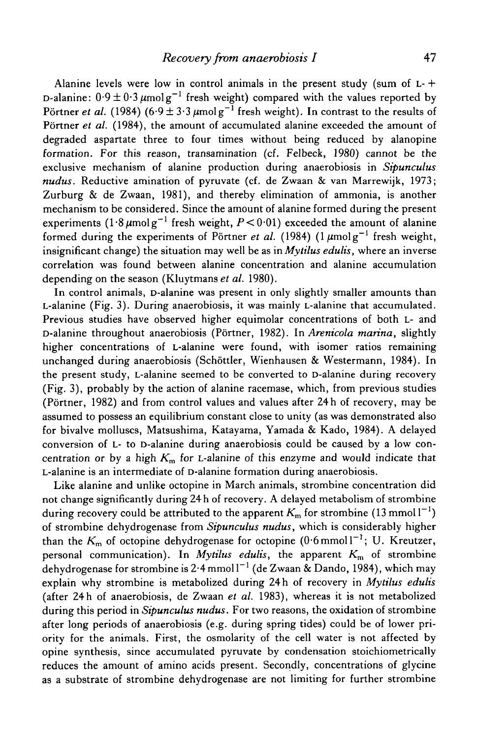Alanine levels were low in control animals in the present study (sum of  $L +$ D-alanine:  $0.9 \pm 0.3 \,\mu$ molg $^{-1}$  fresh weight) compared with the values reported by Pörtner *et al.* (1984) (6·9  $\pm$  3·3  $\mu$ molg<sup>-1</sup> fresh weight). In contrast to the results of Pörtner *et al.* (1984), the amount of accumulated alanine exceeded the amount of degraded aspartate three to four times without being reduced by alanopine formation. For this reason, transamination (cf. Felbeck, 1980) cannot be the exclusive mechanism of alanine production during anaerobiosis in *Sipunculus nudus.* Reductive amination of pyruvate (cf. de Zwaan & van Marrewijk, 1973; Zurburg & de Zwaan, 1981), and thereby elimination of ammonia, is another mechanism to be considered. Since the amount of alanine formed during the present experiments  $(1.8 \mu \text{mol g}^{-1}$  fresh weight,  $P < 0.01$ ) exceeded the amount of alanine formed during the experiments of Pörtner et al. (1984) (1  $\mu$ molg<sup>-1</sup> fresh weight, insignificant change) the situation may well be as in *Mytilus edulis,* where an inverse correlation was found between alanine concentration and alanine accumulation depending on the season (Kluytmans *et al.* 1980).

In control animals, D-alanine was present in only slightly smaller amounts than L-alanine (Fig. 3). During anaerobiosis, it was mainly L-alanine that accumulated. Previous studies have observed higher equimolar concentrations of both L- and D-alanine throughout anaerobiosis (Portner, 1982). In *Arenicola marina,* slightly higher concentrations of L-alanine were found, with isomer ratios remaining unchanged during anaerobiosis (Schottler, Wienhausen & Westermann, 1984). In the present study, L-alanine seemed to be converted to D-alanine during recovery (Fig. 3), probably by the action of alanine racemase, which, from previous studies (Portner, 1982) and from control values and values after 24 h of recovery, may be assumed to possess an equilibrium constant close to unity (as was demonstrated also for bivalve molluscs, Matsushima, Katayama, Yamada & Kado, 1984). A delayed conversion of L- to D-alanine during anaerobiosis could be caused by a low concentration or by a high  $K<sub>m</sub>$  for L-alanine of this enzyme and would indicate that L-alanine is an intermediate of D-alanine formation during anaerobiosis.

Like alanine and unlike octopine in March animals, strombine concentration did not change significantly during 24 h of recovery. A delayed metabolism of strombine during recovery could be attributed to the apparent  $K<sub>m</sub>$  for strombine (13 mmol  $1<sup>-1</sup>$ ) of strombine dehydrogenase from *Sipunculus nudus,* which is considerably higher than the  $K<sub>m</sub>$  of octopine dehydrogenase for octopine (0.6 mmol  $1^{-1}$ ; U. Kreutzer, personal communication). In *My tilus edulis,* the apparent *Km* of strombine dehydrogenase for strombine is  $2.4 \text{ mmol}^{-1}$  (de Zwaan & Dando, 1984), which may explain why strombine is metabolized during 24h of recovery in Mytilus edulis (after 24 h of anaerobiosis, de Zwaan *et al.* 1983), whereas it is not metabolized during this period in *Sipunculus nudus.* For two reasons, the oxidation of strombine after long periods of anaerobiosis (e.g. during spring tides) could be of lower priority for the animals. First, the osmolarity of the cell water is not affected by opine synthesis, since accumulated pyruvate by condensation stoichiometrically reduces the amount of amino acids present. Secondly, concentrations of glycine as a substrate of strombine dehydrogenase are not limiting for further strombine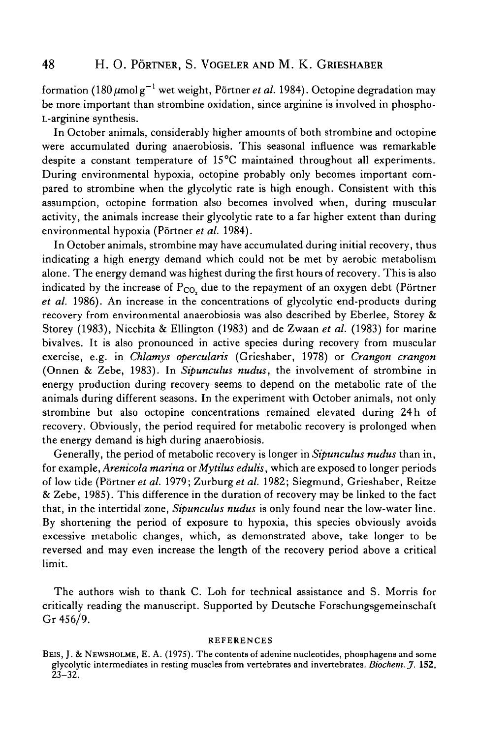formation (180  $\mu$ molg $^{-1}$  wet weight, Pörtner *et al*. 1984). Octopine degradation may be more important than strombine oxidation, since arginine is involved in phospho-L-arginine synthesis.

In October animals, considerably higher amounts of both strombine and octopine were accumulated during anaerobiosis. This seasonal influence was remarkable despite a constant temperature of 15°C maintained throughout all experiments. During environmental hypoxia, octopine probably only becomes important compared to strombine when the glycolytic rate is high enough. Consistent with this assumption, octopine formation also becomes involved when, during muscular activity, the animals increase their glycolytic rate to a far higher extent than during environmental hypoxia (Pörtner et al. 1984).

In October animals, strombine may have accumulated during initial recovery, thus indicating a high energy demand which could not be met by aerobic metabolism alone. The energy demand was highest during the first hours of recovery. This is also indicated by the increase of  $P_{CO_2}$  due to the repayment of an oxygen debt (Pörtner *et al.* 1986). An increase in the concentrations of glycolytic end-products during recovery from environmental anaerobiosis was also described by Eberlee, Storey & Storey (1983), Nicchita & Ellington (1983) and de Zwaan *et al.* (1983) for marine bivalves. It is also pronounced in active species during recovery from muscular exercise, e.g. in *Chlamys opercularis* (Grieshaber, 1978) or *Crangon crangon* (Onnen & Zebe, 1983). In *Sipunculus nudus,* the involvement of strombine in energy production during recovery seems to depend on the metabolic rate of the animals during different seasons. In the experiment with October animals, not only strombine but also octopine concentrations remained elevated during 24 h of recovery. Obviously, the period required for metabolic recovery is prolonged when the energy demand is high during anaerobiosis.

Generally, the period of metabolic recovery is longer in *Sipunculus nudus* than in, for example, *Arenicola marina orMytilus edulis,* which are exposed to longer periods of low tide (Portner *et al.* 1979; *Zurburg etal.* 1982; Siegmund, Grieshaber, Reitze & Zebe, 1985). This difference in the duration of recovery may be linked to the fact that, in the intertidal zone, *Sipunculus nudus* is only found near the low-water line. By shortening the period of exposure to hypoxia, this species obviously avoids excessive metabolic changes, which, as demonstrated above, take longer to be reversed and may even increase the length of the recovery period above a critical limit.

The authors wish to thank C. Loh for technical assistance and S. Morris for critically reading the manuscript. Supported by Deutsche Forschungsgemeinschaft Gr 456/9.

#### REFERENCES

BEIS, J. & NEWSHOLME, E. A. (1975). The contents of adenine nucleotides, phosphagens and some glycolytic intermediates in resting muscles from vertebrates and invertebrates. *Biochem. J.* **152,** 23-32.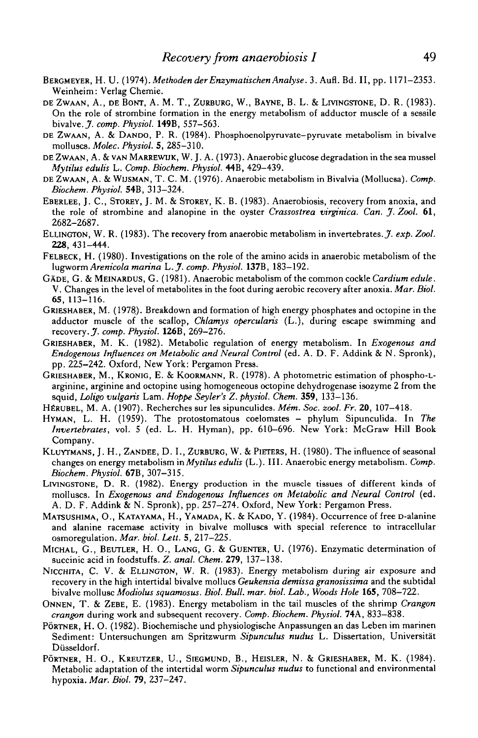- BERGMEYER, H. U. (1974). Methoden der Enzymatischen Analyse. 3. Aufl. Bd. II, pp. 1171-2353. Weinheim: Verlag Chemie.
- DE ZWAAN, A., DE BONT, A. M. T., ZURBURG, W., BAYNE, B. L. & LIVINGSTONE, D. R. (1983). On the role of strombine formation in the energy metabolism of adductor muscle of a sessile bivalve. *J. comp. Physiol.* 149B, 557-563.
- DE ZWAAN, A. & DANDO, P. R. (1984). Phosphoenolpyruvate-pyruvate metabolism in bivalve molluscs. *Molec. Physiol.* 5, 285-310.
- DE ZWAAN, A. & VAN MARREWUK, W. J. A. (1973). Anaerobic glucose degradation in the sea mussel *Mytilus edulis* L. *Comp. Biochem. Physiol.* 44B, 429-439.
- DE ZWAAN, A. & WUSMAN, T. C. M. (1976). Anaerobic metabolism in Bivalvia (Mollucsa). *Comp. Biochem. Physiol.* S4B, 313-324.
- EBERLEE, J. C., STOREY, J. M. & STOREY, K. B. (1983). Anaerobiosis, recovery from anoxia, and the role of strombine and alanopine in the oyster *Crassostrea virginica. Can. jf. Zool.* 61, 2682-2687.
- ELLINGTON, W. R. (1983). The recovery from anaerobic metabolism in invertebrates.^, *exp. Zool.* 228,431-444.
- FELBECK, H. (1980). Investigations on the role of the amino acids in anaerobic metabolism of the lugworm *Arenicola marina L.jf. comp. Physiol.* 137B, 183-192.
- GADE, G. & MEINARDUS, G. (1981). Anaerobic metabolism of the common cockle *Cardium edule.* V. Changes in the level of metabolites in the foot during aerobic recovery after anoxia. *Mar. Biol.* 65, 113-116.
- GRIESHABER, M. (1978). Breakdown and formation of high energy phosphates and octopine in the adductor muscle of the scallop, *Chlamys opercularis* (L.), during escape swimming and recovery. J. *comp. Physiol.* 126B, 269-276.
- GRIESHABER, M. K. (1982). Metabolic regulation of energy metabolism. In *Exogenous and Endogenous Influences on Metabolic and Neural Control* (ed. A. D. F. Addink & N. Spronk), pp. 225-242. Oxford, New York: Pergamon Press.
- GRIESHABER, M., KRONIG, E. & KOORMANN, R. (1978). A photometric estimation of phospho-Larginine, arginine and octopine using homogeneous octopine dehydrogenase isozyme 2 from the squid, *Loligo vulgaris* Lam. *Hoppe Seyler's Z. physiol. Chem.* 359, 133-136.
- HERUBEL, M. A. (1907). Recherches sur les sipunculides. *Mém. Soc. zool. Fr.* 20, 107-418.
- HYMAN, L. H. (1959). The protostomatous coelomates phylum Sipunculida. In The *Invertebrates,* vol. 5 (ed. L. H. Hyman), pp. 610-696. New York: McGraw Hill Book Company.
- KLUYTMANS, J. H., ZANDEE, D. I., ZURBURG, W. & PIETERS, H. (1980). The influence of seasonal changes on energy metabolism *inMytilus edulis* (L.). III. Anaerobic energy metabolism. *Comp. Biochem. Physiol.* 67B, 307-315.
- LIVINGSTONE, D. R. (1982). Energy production in the muscle tissues of different kinds of molluscs. In *Exogenous and Endogenous Influences on Metabolic and Neural Control* (ed. A. D. F. Addink & N. Spronk), pp. 257-274. Oxford, New York: Pergamon Press.
- MATSUSHIMA, O., KATAYAMA, H., YAMADA, K. & KADO, Y. (1984). Occurrence of free D-alanine and alanine racemase activity in bivalve molluscs with special reference to intracellular osmoregulation. *Mar. biol. Lett.* 5, 217-225.
- MICHAL, G., BEUTLER, H. O., LANG, G. & GUENTER, U. (1976). Enzymatic determination of succinic acid in foodstuffs. *Z. anal. Chem.* 279, 137-138.
- NICCHITA, C. V. & ELLINGTON, W. R. (1983). Energy metabolism during air exposure and recovery in the high intertidal bivalve mollucs *Geukensia demissa granosissima* and the subtidal bivalve mollusc *Modiolus squamosus. Biol. Bull. mar. biol. Lab., Woods Hole* 165, 708-722.
- ONNEN, T. & ZEBE, E. (1983). Energy metabolism in the tail muscles of the shrimp *Crangon crangon* during work and subsequent recovery. *Comp. Biochem. Physiol.* 74A, 833-838.
- PORTNER, H. O. (1982). Biochemische und physiologische Anpassungen an das Leben im marinen Sediment: Untersuchungen am Spritzwurm *Sipunculus nudus* L. Dissertation, Universitat Düsseldorf.
- PÖRTNER, H. O., KREUTZER, U., SIEGMUND, B., HEISLER, N. & GRIESHABER, M. K. (1984). Metabolic adaptation of the intertidal worm *Sipunculus nudus* to functional and environmental hypoxia. *Mar. Biol.* 79, 237-247.